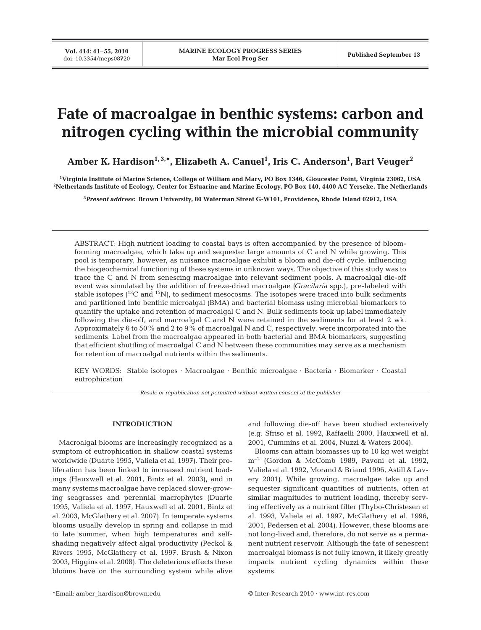# **Fate of macroalgae in benthic systems: carbon and nitrogen cycling within the microbial community**

Amber K. Hardison<sup>1,3,</sup>\*, Elizabeth A. Canuel<sup>1</sup>, Iris C. Anderson<sup>1</sup>, Bart Veuger<sup>2</sup>

**1 Virginia Institute of Marine Science, College of William and Mary, PO Box 1346, Gloucester Point, Virginia 23062, USA 2 Netherlands Institute of Ecology, Center for Estuarine and Marine Ecology, PO Box 140, 4400 AC Yerseke, The Netherlands**

**3** *Present address:* **Brown University, 80 Waterman Street G-W101, Providence, Rhode Island 02912, USA**

ABSTRACT: High nutrient loading to coastal bays is often accompanied by the presence of bloomforming macroalgae, which take up and sequester large amounts of C and N while growing. This pool is temporary, however, as nuisance macroalgae exhibit a bloom and die-off cycle, influencing the biogeochemical functioning of these systems in unknown ways. The objective of this study was to trace the C and N from senescing macroalgae into relevant sediment pools. A macroalgal die-off event was simulated by the addition of freeze-dried macroalgae *(Gracilaria* spp.), pre-labeled with stable isotopes  $(13)$ C and  $(15)$ N), to sediment mesocosms. The isotopes were traced into bulk sediments and partitioned into benthic microalgal (BMA) and bacterial biomass using microbial biomarkers to quantify the uptake and retention of macroalgal C and N. Bulk sediments took up label immediately following the die-off, and macroalgal C and N were retained in the sediments for at least 2 wk. Approximately 6 to 50% and 2 to 9% of macroalgal N and C, respectively, were incorporated into the sediments. Label from the macroalgae appeared in both bacterial and BMA biomarkers, suggesting that efficient shuttling of macroalgal C and N between these communities may serve as a mechanism for retention of macroalgal nutrients within the sediments.

KEY WORDS: Stable isotopes · Macroalgae · Benthic microalgae · Bacteria · Biomarker · Coastal eutrophication

*Resale or republication not permitted without written consent of the publisher*

## **INTRODUCTION**

Macroalgal blooms are increasingly recognized as a symptom of eutrophication in shallow coastal systems worldwide (Duarte 1995, Valiela et al. 1997). Their proliferation has been linked to increased nutrient loadings (Hauxwell et al. 2001, Bintz et al. 2003), and in many systems macroalgae have replaced slower-growing seagrasses and perennial macrophytes (Duarte 1995, Valiela et al. 1997, Hauxwell et al. 2001, Bintz et al. 2003, McGlathery et al. 2007). In temperate systems blooms usually develop in spring and collapse in mid to late summer, when high temperatures and selfshading negatively affect algal productivity (Peckol & Rivers 1995, McGlathery et al. 1997, Brush & Nixon 2003, Higgins et al. 2008). The deleterious effects these blooms have on the surrounding system while alive

and following die-off have been studied extensively (e.g. Sfriso et al. 1992, Raffaelli 2000, Hauxwell et al. 2001, Cummins et al. 2004, Nuzzi & Waters 2004).

Blooms can attain biomasses up to 10 kg wet weight m–2 (Gordon & McComb 1989, Pavoni et al. 1992, Valiela et al. 1992, Morand & Briand 1996, Astill & Lavery 2001). While growing, macroalgae take up and sequester significant quantities of nutrients, often at similar magnitudes to nutrient loading, thereby serving effectively as a nutrient filter (Thybo-Christesen et al. 1993, Valiela et al. 1997, McGlathery et al. 1996, 2001, Pedersen et al. 2004). However, these blooms are not long-lived and, therefore, do not serve as a permanent nutrient reservoir. Although the fate of senescent macroalgal biomass is not fully known, it likely greatly impacts nutrient cycling dynamics within these systems.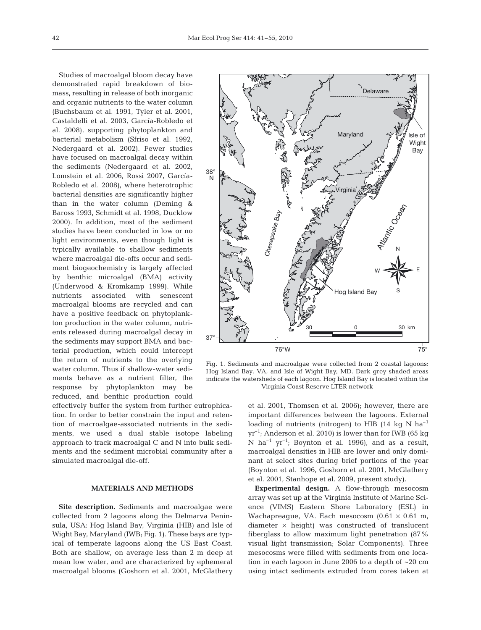Studies of macroalgal bloom decay have demonstrated rapid breakdown of biomass, resulting in release of both inorganic and organic nutrients to the water column (Buchsbaum et al. 1991, Tyler et al. 2001, Castaldelli et al. 2003, García-Robledo et al. 2008), supporting phytoplankton and bacterial metabolism (Sfriso et al. 1992, Nedergaard et al. 2002). Fewer studies have focused on macroalgal decay within the sediments (Nedergaard et al. 2002, Lomstein et al. 2006, Rossi 2007, García-Robledo et al. 2008), where heterotrophic bacterial densities are significantly higher than in the water column (Deming & Baross 1993, Schmidt et al. 1998, Ducklow 2000). In addition, most of the sediment studies have been conducted in low or no light environments, even though light is typically available to shallow sediments where macroalgal die-offs occur and sediment biogeochemistry is largely affected by benthic microalgal (BMA) activity (Underwood & Kromkamp 1999). While nutrients associated with senescent macroalgal blooms are recycled and can have a positive feedback on phytoplankton production in the water column, nutrients released during macroalgal decay in the sediments may support BMA and bacterial production, which could intercept the return of nutrients to the overlying water column. Thus if shallow-water sediments behave as a nutrient filter, the response by phytoplankton may be reduced, and benthic production could

effectively buffer the system from further eutrophication. In order to better constrain the input and retention of macroalgae-associated nutrients in the sediments, we used a dual stable isotope labeling approach to track macroalgal C and N into bulk sediments and the sediment microbial community after a simulated macroalgal die-off.

## **MATERIALS AND METHODS**

**Site description.** Sediments and macroalgae were collected from 2 lagoons along the Delmarva Peninsula, USA: Hog Island Bay, Virginia (HIB) and Isle of Wight Bay, Maryland (IWB; Fig. 1). These bays are typical of temperate lagoons along the US East Coast. Both are shallow, on average less than 2 m deep at mean low water, and are characterized by ephemeral macroalgal blooms (Goshorn et al. 2001, McGlathery



Fig. 1. Sediments and macroalgae were collected from 2 coastal lagoons: Hog Island Bay, VA, and Isle of Wight Bay, MD. Dark grey shaded areas indicate the watersheds of each lagoon. Hog Island Bay is located within the Virginia Coast Reserve LTER network

et al. 2001, Thomsen et al. 2006); however, there are important differences between the lagoons. External loading of nutrients (nitrogen) to HIB (14 kg N  $ha^{-1}$ )  $yr^{-1}$ ; Anderson et al. 2010) is lower than for IWB (65 kg) N ha<sup>-1</sup> yr<sup>-1</sup>; Boynton et al. 1996), and as a result, macroalgal densities in HIB are lower and only dominant at select sites during brief portions of the year (Boynton et al. 1996, Goshorn et al. 2001, McGlathery et al. 2001, Stanhope et al. 2009, present study).

**Experimental design.** A flow-through mesocosm array was set up at the Virginia Institute of Marine Science (VIMS) Eastern Shore Laboratory (ESL) in Wachapreague, VA. Each mesocosm  $(0.61 \times 0.61 \text{ m})$ , diameter  $\times$  height) was constructed of translucent fiberglass to allow maximum light penetration (87% visual light transmission; Solar Components). Three mesocosms were filled with sediments from one location in each lagoon in June 2006 to a depth of ~20 cm using intact sediments extruded from cores taken at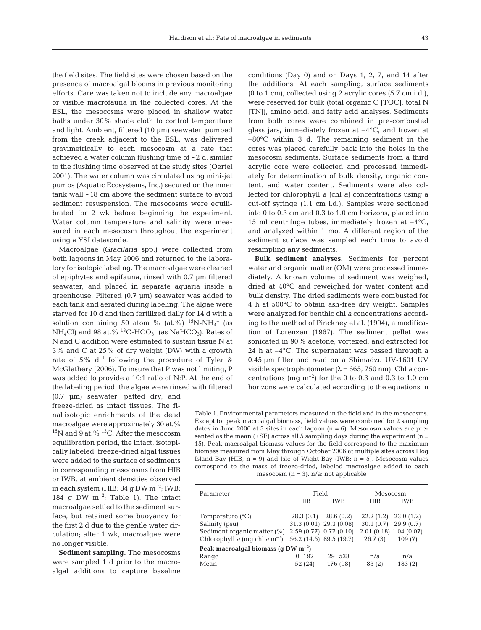the field sites. The field sites were chosen based on the presence of macroalgal blooms in previous monitoring efforts. Care was taken not to include any macroalgae or visible macrofauna in the collected cores. At the ESL, the mesocosms were placed in shallow water baths under 30% shade cloth to control temperature and light. Ambient, filtered (10 µm) seawater, pumped from the creek adjacent to the ESL, was delivered gravimetrically to each mesocosm at a rate that achieved a water column flushing time of ~2 d, similar to the flushing time observed at the study sites (Oertel 2001). The water column was circulated using mini-jet pumps (Aquatic Ecosystems, Inc.) secured on the inner tank wall ~18 cm above the sediment surface to avoid sediment resuspension. The mesocosms were equilibrated for 2 wk before beginning the experiment. Water column temperature and salinity were measured in each mesocosm throughout the experiment using a YSI datasonde.

Macroalgae *(Gracilaria* spp.) were collected from both lagoons in May 2006 and returned to the laboratory for isotopic labeling. The macroalgae were cleaned of epiphytes and epifauna, rinsed with 0.7 µm filtered seawater, and placed in separate aquaria inside a greenhouse. Filtered (0.7 µm) seawater was added to each tank and aerated during labeling. The algae were starved for 10 d and then fertilized daily for 14 d with a solution containing 50 atom % (at.%)  $^{15}$ N-NH<sub>4</sub><sup>+</sup> (as  $NH_4Cl$ ) and 98 at.% <sup>13</sup>C-HCO<sub>3</sub><sup>-</sup> (as NaHCO<sub>3</sub>). Rates of N and C addition were estimated to sustain tissue N at 3% and C at 25% of dry weight (DW) with a growth rate of 5%  $d^{-1}$  following the procedure of Tyler & McGlathery (2006). To insure that P was not limiting, P was added to provide a 10:1 ratio of N:P. At the end of the labeling period, the algae were rinsed with filtered

(0.7 µm) seawater, patted dry, and freeze-dried as intact tissues. The final isotopic enrichments of the dead macroalgae were approximately 30 at.%  $15$ N and 9 at.%  $13$ C. After the mesocosm equilibration period, the intact, isotopically labeled, freeze-dried algal tissues were added to the surface of sediments in corresponding mesocosms from HIB or IWB, at ambient densities observed in each system (HIB:  $84 \text{ g DW m}^{-2}$ ; IWB: 184 g DW  $m^{-2}$ ; Table 1). The intact macroalgae settled to the sediment surface, but retained some buoyancy for the first 2 d due to the gentle water circulation; after 1 wk, macroalgae were no longer visible.

**Sediment sampling.** The mesocosms were sampled 1 d prior to the macroalgal additions to capture baseline conditions (Day 0) and on Days 1, 2, 7, and 14 after the additions. At each sampling, surface sediments (0 to 1 cm), collected using 2 acrylic cores (5.7 cm i.d.), were reserved for bulk (total organic C [TOC], total N [TN]), amino acid, and fatty acid analyses. Sediments from both cores were combined in pre-combusted glass jars, immediately frozen at  $-4^{\circ}C$ , and frozen at –80°C within 3 d. The remaining sediment in the cores was placed carefully back into the holes in the mesocosm sediments. Surface sediments from a third acrylic core were collected and processed immediately for determination of bulk density, organic content, and water content. Sediments were also collected for chlorophyll *a* (chl *a)* concentrations using a cut-off syringe (1.1 cm i.d.). Samples were sectioned into 0 to 0.3 cm and 0.3 to 1.0 cm horizons, placed into 15 ml centrifuge tubes, immediately frozen at  $-4^{\circ}C$ , and analyzed within 1 mo. A different region of the sediment surface was sampled each time to avoid resampling any sediments.

**Bulk sediment analyses.** Sediments for percent water and organic matter (OM) were processed immediately. A known volume of sediment was weighed, dried at 40°C and reweighed for water content and bulk density. The dried sediments were combusted for 4 h at 500°C to obtain ash-free dry weight. Samples were analyzed for benthic chl *a* concentrations according to the method of Pinckney et al. (1994), a modification of Lorenzen (1967). The sediment pellet was sonicated in 90% acetone, vortexed, and extracted for 24 h at –4°C. The supernatant was passed through a 0.45 µm filter and read on a Shimadzu UV-1601 UV visible spectrophotometer (λ = 665, 750 nm). Chl *a* concentrations (mg  $\rm m^{-2}$ ) for the 0 to 0.3 and 0.3 to 1.0 cm horizons were calculated according to the equations in

Table 1. Environmental parameters measured in the field and in the mesocosms. Except for peak macroalgal biomass, field values were combined for 2 sampling dates in June 2006 at 3 sites in each lagoon (n = 6). Mesocosm values are presented as the mean  $(\pm SE)$  across all 5 sampling days during the experiment (n = 15). Peak macroalgal biomass values for the field correspond to the maximum biomass measured from May through October 2006 at multiple sites across Hog Island Bay (HIB;  $n = 9$ ) and Isle of Wight Bay (IWB:  $n = 5$ ). Mesocosm values correspond to the mass of freeze-dried, labeled macroalgae added to each mesocosm  $(n = 3)$ . n/a: not applicable

| Parameter                                                         | Field      |                         | Mesocosm  |                          |  |  |  |  |  |
|-------------------------------------------------------------------|------------|-------------------------|-----------|--------------------------|--|--|--|--|--|
|                                                                   | <b>HIB</b> | <b>IWB</b>              | HIB.      | <b>IWB</b>               |  |  |  |  |  |
| Temperature $(^{\circ}C)$                                         | 28.3(0.1)  | 28.6(0.2)               | 22.2(1.2) | 23.0(1.2)                |  |  |  |  |  |
| Salinity (psu)                                                    |            | 31.3 (0.01) 29.3 (0.08) |           | $30.1(0.7)$ 29.9 $(0.7)$ |  |  |  |  |  |
| Sediment organic matter (%) 2.59 (0.77) 0.77 (0.10)               |            |                         |           | 2.01(0.18)1.04(0.07)     |  |  |  |  |  |
| Chlorophyll a (mq chl a m <sup>-2</sup> ) 56.2 (14.5) 89.5 (19.7) |            |                         | 26.7(3)   | 109(7)                   |  |  |  |  |  |
| Peak macroalgal biomass (q DW $m^{-2}$ )                          |            |                         |           |                          |  |  |  |  |  |
| Range                                                             | $0 - 192$  | $29 - 538$              | n/a       | n/a                      |  |  |  |  |  |
| Mean                                                              | 52 (24)    | 176 (98)                | 83 (2)    | 183(2)                   |  |  |  |  |  |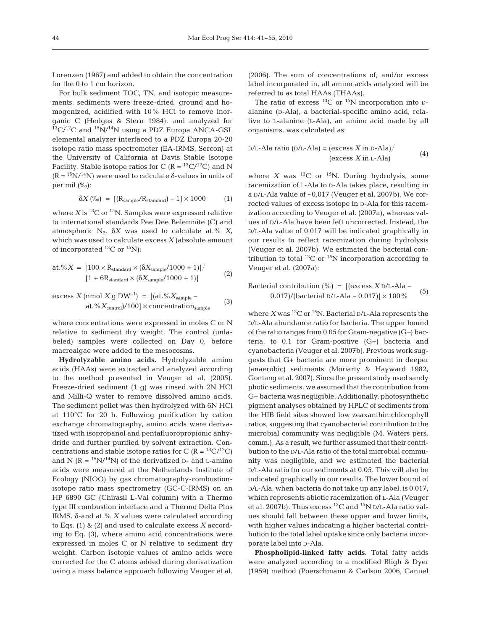Lorenzen (1967) and added to obtain the concentration for the 0 to 1 cm horizon.

For bulk sediment TOC, TN, and isotopic measurements, sediments were freeze-dried, ground and homogenized, acidified with 10% HCl to remove inorganic C (Hedges & Stern 1984), and analyzed for  $13\text{C}/12\text{C}$  and  $15\text{N}/14\text{N}$  using a PDZ Europa ANCA-GSL elemental analyzer interfaced to a PDZ Europa 20-20 isotope ratio mass spectrometer (EA-IRMS, Sercon) at the University of California at Davis Stable Isotope Facility. Stable isotope ratios for C ( $R = {}^{13}C/{}^{12}C$ ) and N  $(R = {^{15}N}/{^{14}N})$  were used to calculate  $\delta$ -values in units of per mil (‰):

$$
\delta X\,(\%) \ = \ \left[\left(\mathrm{R}_{\mathrm{sample}}/\mathrm{R}_{\mathrm{standard}}\right) - 1\right] \times 1000 \qquad \quad \ \ (1)
$$

where  $X$  is  ${}^{13}$ C or  ${}^{15}$ N. Samples were expressed relative to international standards Pee Dee Belemnite (C) and atmospheric  $N_2$ .  $\delta X$  was used to calculate at.%  $X_i$ which was used to calculate excess *X* (absolute amount of incorporated  ${}^{13}C$  or  ${}^{15}N$ ):

at. %
$$
X = [100 \times R_{standard} \times (\delta X_{sample}/1000 + 1)] / [(1 + 6R_{standard} \times (\delta X_{sample}/1000 + 1)]
$$
 (2)

excess *X* (nmol *X* g DW–1) = [(at.%*X*sample – at.%*X*control)/100] × concentrationsample (3)

where concentrations were expressed in moles C or N relative to sediment dry weight. The control (unlabeled) samples were collected on Day 0, before macroalgae were added to the mesocosms.

**Hydrolyzable amino acids.** Hydrolyzable amino acids (HAAs) were extracted and analyzed according to the method presented in Veuger et al. (2005). Freeze-dried sediment (1 g) was rinsed with 2N HCl and Milli-Q water to remove dissolved amino acids. The sediment pellet was then hydrolyzed with 6N HCl at 110°C for 20 h. Following purification by cation exchange chromatography, amino acids were derivatized with isopropanol and pentafluoropropionic anhydride and further purified by solvent extraction. Concentrations and stable isotope ratios for C ( $R = {}^{13}C/{}^{12}C$ ) and N  $(R = {^{15}N}/{^{14}N})$  of the derivatized D- and L-amino acids were measured at the Netherlands Institute of Ecology (NIOO) by gas chromatography-combustionisotope ratio mass spectrometry (GC-C-IRMS) on an HP 6890 GC (Chirasil L-Val column) with a Thermo type III combustion interface and a Thermo Delta Plus IRMS. δ-and at.% *X* values were calculated according to Eqs. (1) & (2) and used to calculate excess *X* according to Eq. (3), where amino acid concentrations were expressed in moles C or N relative to sediment dry weight. Carbon isotopic values of amino acids were corrected for the C atoms added during derivatization using a mass balance approach following Veuger et al.

(2006). The sum of concentrations of, and/or excess label incorporated in, all amino acids analyzed will be referred to as total HAAs (THAAs).

The ratio of excess  $^{13}$ C or  $^{15}$ N incorporation into Dalanine (D-Ala), a bacterial-specific amino acid, relative to L-alanine (L-Ala), an amino acid made by all organisms, was calculated as:

D/L-Ala ratio (D/L-Ala) = (excess *X* in D-Ala)-(excess *<sup>X</sup>* in L-Ala) (4)

where  $X$  was  $^{13}C$  or  $^{15}N$ . During hydrolysis, some racemization of L-Ala to D-Ala takes place, resulting in a D/L-Ala value of ~0.017 (Veuger et al. 2007b). We corrected values of excess isotope in D-Ala for this racemization according to Veuger et al. (2007a), whereas values of D/L-Ala have been left uncorrected. Instead, the D/L-Ala value of 0.017 will be indicated graphically in our results to reflect racemization during hydrolysis (Veuger et al. 2007b). We estimated the bacterial contribution to total  $^{13}$ C or  $^{15}$ N incorporation according to Veuger et al. (2007a):

Bacterial contribution (%) = [(excess *X* D/L-Ala – 0.017)/(bacterial D/L-Ala – 0.017)] <sup>×</sup> 100% (5)

where  $X$  was <sup>13</sup>C or <sup>15</sup>N. Bacterial  $D/L$ -Ala represents the D/L-Ala abundance ratio for bacteria. The upper bound of the ratio ranges from 0.05 for Gram-negative (G–) bacteria, to 0.1 for Gram-positive (G+) bacteria and cyanobacteria (Veuger et al. 2007b). Previous work suggests that G+ bacteria are more prominent in deeper (anaerobic) sediments (Moriarty & Hayward 1982, Gontang et al. 2007). Since the present study used sandy photic sediments, we assumed that the contribution from G+ bacteria was negligible. Additionally, photosynthetic pigment analyses obtained by HPLC of sediments from the HIB field sites showed low zeaxanthin:chlorophyll ratios, suggesting that cyanobacterial contribution to the microbial community was negligible (M. Waters pers. comm.). As a result, we further assumed that their contribution to the D/L-Ala ratio of the total microbial community was negligible, and we estimated the bacterial D/L-Ala ratio for our sediments at 0.05. This will also be indicated graphically in our results. The lower bound of D/L-Ala, when bacteria do not take up any label, is 0.017, which represents abiotic racemization of L-Ala (Veuger et al. 2007b). Thus excess <sup>13</sup>C and <sup>15</sup>N D/L-Ala ratio values should fall between these upper and lower limits, with higher values indicating a higher bacterial contribution to the total label uptake since only bacteria incorporate label into D-Ala.

**Phospholipid-linked fatty acids.** Total fatty acids were analyzed according to a modified Bligh & Dyer (1959) method (Poerschmann & Carlson 2006, Canuel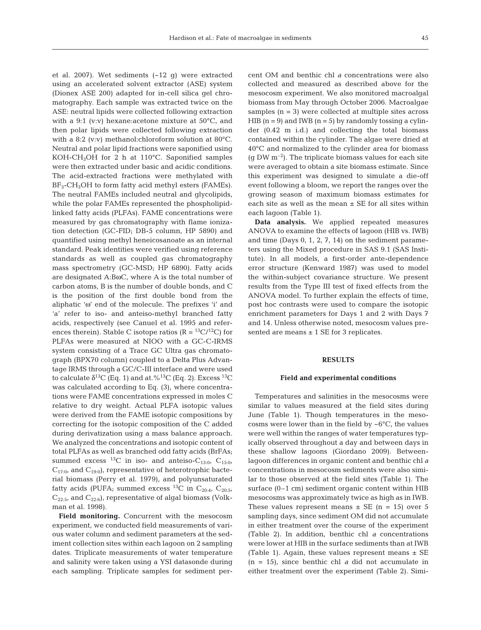et al. 2007). Wet sediments (~12 g) were extracted using an accelerated solvent extractor (ASE) system (Dionex ASE 200) adapted for in-cell silica gel chromatography. Each sample was extracted twice on the ASE: neutral lipids were collected following extraction with a 9:1 (v:v) hexane:acetone mixture at 50°C, and then polar lipids were collected following extraction with a 8:2 (v:v) methanol:chloroform solution at 80°C. Neutral and polar lipid fractions were saponified using KOH-CH3OH for 2 h at 110°C. Saponified samples were then extracted under basic and acidic conditions. The acid-extracted fractions were methylated with  $BF_3$ -CH<sub>3</sub>OH to form fatty acid methyl esters (FAMEs). The neutral FAMEs included neutral and glycolipids, while the polar FAMEs represented the phospholipidlinked fatty acids (PLFAs). FAME concentrations were measured by gas chromatography with flame ionization detection (GC-FID; DB-5 column, HP 5890) and quantified using methyl heneicosanoate as an internal standard. Peak identities were verified using reference standards as well as coupled gas chromatography mass spectrometry (GC-MSD; HP 6890). Fatty acids are designated A:BωC, where A is the total number of carbon atoms, B is the number of double bonds, and C is the position of the first double bond from the aliphatic 'ω' end of the molecule. The prefixes 'i' and 'a' refer to iso- and anteiso-methyl branched fatty acids, respectively (see Canuel et al. 1995 and references therein). Stable C isotope ratios ( $R = {}^{13}C/{}^{12}C$ ) for PLFAs were measured at NIOO with a GC-C-IRMS system consisting of a Trace GC Ultra gas chromatograph (BPX70 column) coupled to a Delta Plus Advantage IRMS through a GC/C-III interface and were used to calculate  $\delta^{13}C$  (Eq. 1) and at. %<sup>13</sup>C (Eq. 2). Excess <sup>13</sup>C was calculated according to Eq. (3), where concentrations were FAME concentrations expressed in moles C relative to dry weight. Actual PLFA isotopic values were derived from the FAME isotopic compositions by correcting for the isotopic composition of the C added during derivatization using a mass balance approach. We analyzed the concentrations and isotopic content of total PLFAs as well as branched odd fatty acids (BrFAs; summed excess <sup>13</sup>C in iso- and anteiso-C<sub>13:0</sub>, C<sub>15:0</sub>,  $C_{17:0}$ , and  $C_{19:0}$ , representative of heterotrophic bacterial biomass (Perry et al. 1979), and polyunsaturated fatty acids (PUFA; summed excess <sup>13</sup>C in C<sub>20:4</sub>, C<sub>20:5</sub>,  $C_{22:5}$ , and  $C_{22:6}$ ), representative of algal biomass (Volkman et al. 1998).

**Field monitoring.** Concurrent with the mesocosm experiment, we conducted field measurements of various water column and sediment parameters at the sediment collection sites within each lagoon on 2 sampling dates. Triplicate measurements of water temperature and salinity were taken using a YSI datasonde during each sampling. Triplicate samples for sediment percent OM and benthic chl *a* concentrations were also collected and measured as described above for the mesocosm experiment. We also monitored macroalgal biomass from May through October 2006. Macroalgae samples  $(n = 3)$  were collected at multiple sites across HIB  $(n = 9)$  and IWB  $(n = 5)$  by randomly tossing a cylinder (0.42 m i.d.) and collecting the total biomass contained within the cylinder. The algae were dried at 40°C and normalized to the cylinder area for biomass  $(q$  DW  $m^{-2}$ ). The triplicate biomass values for each site were averaged to obtain a site biomass estimate. Since this experiment was designed to simulate a die-off event following a bloom, we report the ranges over the growing season of maximum biomass estimates for each site as well as the mean  $\pm$  SE for all sites within each lagoon (Table 1).

**Data analysis.** We applied repeated measures ANOVA to examine the effects of lagoon (HIB vs. IWB) and time (Days 0, 1, 2, 7, 14) on the sediment parameters using the Mixed procedure in SAS 9.1 (SAS Institute). In all models, a first-order ante-dependence error structure (Kenward 1987) was used to model the within-subject covariance structure. We present results from the Type III test of fixed effects from the ANOVA model. To further explain the effects of time, post hoc contrasts were used to compare the isotopic enrichment parameters for Days 1 and 2 with Days 7 and 14. Unless otherwise noted, mesocosm values presented are means  $\pm$  1 SE for 3 replicates.

#### **RESULTS**

## **Field and experimental conditions**

Temperatures and salinities in the mesocosms were similar to values measured at the field sites during June (Table 1). Though temperatures in the mesocosms were lower than in the field by  $\sim6^{\circ}C$ , the values were well within the ranges of water temperatures typically observed throughout a day and between days in these shallow lagoons (Giordano 2009). Betweenlagoon differences in organic content and benthic chl *a* concentrations in mesocosm sediments were also similar to those observed at the field sites (Table 1). The surface (0–1 cm) sediment organic content within HIB mesocosms was approximately twice as high as in IWB. These values represent means  $\pm$  SE (n = 15) over 5 sampling days, since sediment OM did not accumulate in either treatment over the course of the experiment (Table 2). In addition, benthic chl *a* concentrations were lower at HIB in the surface sediments than at IWB (Table 1). Again, these values represent means  $\pm$  SE (n = 15), since benthic chl *a* did not accumulate in either treatment over the experiment (Table 2). Simi-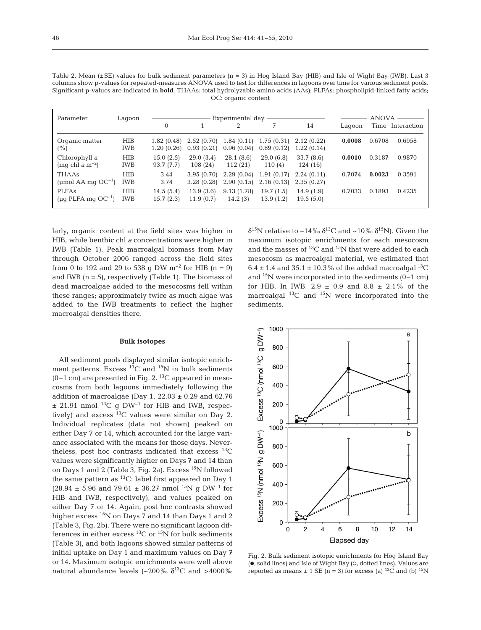| OC: organic content                                                                                                                      |
|------------------------------------------------------------------------------------------------------------------------------------------|
| Significant p-values are indicated in <b>bold</b> . THAAs: total hydrolyzable amino acids (AAs); PLFAs: phospholipid-linked fatty acids; |
| columns show p-values for repeated-measures ANOVA used to test for differences in lagoons over time for various sediment pools.          |
| Table 2. Mean (±SE) values for bulk sediment parameters ( $n = 3$ ) in Hog Island Bay (HIB) and Isle of Wight Bay (IWB). Last 3          |

| Parameter                                    | Lagoon                   |                           | Experimental day -       |                          | <b>ANOVA</b>             |                          |        |        |                  |
|----------------------------------------------|--------------------------|---------------------------|--------------------------|--------------------------|--------------------------|--------------------------|--------|--------|------------------|
|                                              |                          | $\Omega$                  |                          | ∩                        | 7                        | 14                       | Lagoon |        | Time Interaction |
| Organic matter<br>$(\%)$                     | <b>HIB</b><br><b>IWB</b> | 1.82 (0.48)<br>1.20(0.26) | 2.52(0.70)<br>0.93(0.21) | 1.84(0.11)<br>0.96(0.04) | 1.75(0.31)<br>0.89(0.12) | 2.12(0.22)<br>1.22(0.14) | 0.0008 | 0.6708 | 0.6958           |
| Chlorophyll a<br>(mq chl a m <sup>-2</sup> ) | <b>HIB</b><br><b>IWB</b> | 15.0(2.5)<br>93.7 (7.7)   | 29.0(3.4)<br>108(24)     | 28.1(8.6)<br>112(21)     | 29.0(6.8)<br>110(4)      | 33.7(8.6)<br>124 (16)    | 0.0010 | 0.3187 | 0.9870           |
| <b>THAAs</b><br>(µmol AA mq $OC^{-1}$ )      | <b>HIB</b><br><b>IWB</b> | 3.44<br>3.74              | 3.95(0.70)<br>3.28(0.28) | 2.29(0.04)<br>2.90(0.15) | 1.91(0.17)<br>2.16(0.13) | 2.24(0.11)<br>2.35(0.27) | 0.7074 | 0.0023 | 0.3591           |
| <b>PLFAs</b><br>(µq PLFA mq $OC^{-1}$ )      | <b>HIB</b><br>IWB        | 14.5(5.4)<br>15.7(2.3)    | 13.9(3.6)<br>11.9(0.7)   | 9.13(1.78)<br>14.2(3)    | 19.7(1.5)<br>13.9(1.2)   | 14.9(1.9)<br>19.5(5.0)   | 0.7033 | 0.1893 | 0.4235           |

larly, organic content at the field sites was higher in HIB, while benthic chl *a* concentrations were higher in IWB (Table 1). Peak macroalgal biomass from May through October 2006 ranged across the field sites from 0 to 192 and 29 to 538 g DW  $m^{-2}$  for HIB (n = 9) and IWB  $(n = 5)$ , respectively (Table 1). The biomass of dead macroalgae added to the mesocosms fell within these ranges; approximately twice as much algae was added to the IWB treatments to reflect the higher macroalgal densities there.

## **Bulk isotopes**

All sediment pools displayed similar isotopic enrichment patterns. Excess  $^{13}$ C and  $^{15}$ N in bulk sediments  $(0-1)$  cm are presented in Fig. 2.<sup>13</sup>C appeared in mesocosms from both lagoons immediately following the addition of macroalgae (Day 1,  $22.03 \pm 0.29$  and 62.76  $\pm$  21.91 nmol  $^{13}\mathrm{C}$  g DW<sup>-1</sup> for HIB and IWB, respectively) and excess  $^{13}$ C values were similar on Day 2. Individual replicates (data not shown) peaked on either Day 7 or 14, which accounted for the large variance associated with the means for those days. Nevertheless, post hoc contrasts indicated that excess  $^{13}C$ values were significantly higher on Days 7 and 14 than on Days 1 and 2 (Table 3, Fig. 2a). Excess <sup>15</sup>N followed the same pattern as  ${}^{13}C$ : label first appeared on Day 1  $(28.94 \pm 5.96 \text{ and } 79.61 \pm 36.27 \text{ nmol}^{15}N \text{ q } DW^{-1} \text{ for }$ HIB and IWB, respectively), and values peaked on either Day 7 or 14. Again, post hoc contrasts showed higher excess <sup>15</sup>N on Days 7 and 14 than Days 1 and 2 (Table 3, Fig. 2b). There were no significant lagoon differences in either excess  $^{13}$ C or  $^{15}$ N for bulk sediments (Table 3), and both lagoons showed similar patterns of initial uptake on Day 1 and maximum values on Day 7 or 14. Maximum isotopic enrichments were well above natural abundance levels (~200‰  $\delta^{13}$ C and >4000‰

δ<sup>15</sup>N relative to –14‰ δ<sup>13</sup>C and ~10‰ δ<sup>15</sup>N). Given the maximum isotopic enrichments for each mesocosm and the masses of  ${}^{13}C$  and  ${}^{15}N$  that were added to each mesocosm as macroalgal material, we estimated that  $6.4 \pm 1.4$  and  $35.1 \pm 10.3$ % of the added macroalgal <sup>13</sup>C and  $15N$  were incorporated into the sediments (0–1 cm) for HIB. In IWB,  $2.9 \pm 0.9$  and  $8.8 \pm 2.1\%$  of the macroalgal  $^{13}$ C and  $^{15}$ N were incorporated into the sediments.



Fig. 2. Bulk sediment isotopic enrichments for Hog Island Bay (.), solid lines) and Isle of Wight Bay (0, dotted lines). Values are reported as means  $\pm$  1 SE (n = 3) for excess (a) <sup>13</sup>C and (b) <sup>15</sup>N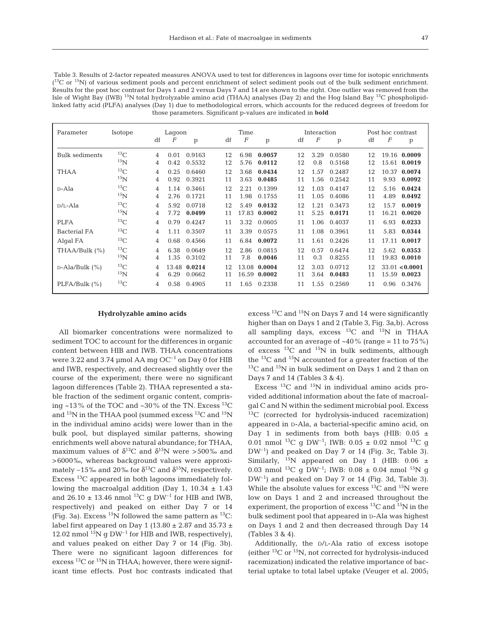Table 3. Results of 2-factor repeated measures ANOVA used to test for differences in lagoons over time for isotopic enrichments  $(13)$ C or  $15$ N) of various sediment pools and percent enrichment of select sediment pools out of the bulk sediment enrichment. Results for the post hoc contrast for Days 1 and 2 versus Days 7 and 14 are shown to the right. One outlier was removed from the Isle of Wight Bay (IWB) <sup>15</sup>N total hydrolyzable amino acid (THAA) analyses (Day 2) and the Hog Island Bay <sup>13</sup>C phospholipidlinked fatty acid (PLFA) analyses (Day 1) due to methodological errors, which accounts for the reduced degrees of freedom for those parameters. Significant p-values are indicated in **bold**

| Parameter           | Isotope    |    | Lagoon |              |    | Time             |              |    | Interaction |             |    | Post hoc contrast |                |
|---------------------|------------|----|--------|--------------|----|------------------|--------------|----|-------------|-------------|----|-------------------|----------------|
|                     |            | df | F      | p            | df | $\boldsymbol{F}$ | p            | df | F           | p           | df | F                 | p              |
| Bulk sediments      | ${}^{13}C$ | 4  | 0.01   | 0.9163       | 12 | 6.98             | 0.0057       | 12 | 3.29        | 0.0580      | 12 |                   | 19.16 0.0009   |
|                     | $^{15}$ N  | 4  | 0.42   | 0.5532       | 12 | 5.76             | 0.0112       | 12 | 0.8         | 0.5168      | 12 |                   | 15.61 0.0019   |
| <b>THAA</b>         | ${}^{13}C$ | 4  | 0.25   | 0.6460       | 12 | 3.68             | 0.0434       | 12 | 1.57        | 0.2487      | 12 |                   | 10.37 0.0074   |
|                     | $^{15}$ N  | 4  | 0.92   | 0.3921       | 11 | 3.63             | 0.0485       | 11 | 1.56        | 0.2542      | 11 | 9.93              | 0.0092         |
| D-Ala               | $^{13}$ C  | 4  | 1.14   | 0.3461       | 12 | 2.21             | 0.1399       | 12 | 1.03        | 0.4147      | 12 | 5.16              | 0.0424         |
|                     | $^{15}$ N  | 4  | 2.76   | 0.1721       | 11 | 1.98             | 0.1755       | 11 | 1.05        | 0.4086      | 11 | 4.89              | 0.0492         |
| $D/L$ -Ala          | ${}^{13}C$ | 4  | 5.92   | 0.0718       | 12 | 5.49             | 0.0132       | 12 |             | 1.21 0.3473 | 12 | 15.7              | 0.0019         |
|                     | $^{15}$ N  | 4  | 7.72   | 0.0499       | 11 |                  | 17.83 0.0002 | 11 | 5.25        | 0.0171      | 11 |                   | 16.21 0.0020   |
| <b>PLFA</b>         | ${}^{13}C$ | 4  | 0.79   | 0.4247       | 11 | 3.32             | 0.0605       | 11 | 1.06        | 0.4037      | 11 | 6.93              | 0.0233         |
| <b>Bacterial FA</b> | ${}^{13}C$ | 4  | 1.11   | 0.3507       | 11 | 3.39             | 0.0575       | 11 | 1.08        | 0.3961      | 11 | 5.83              | 0.0344         |
| Algal FA            | ${}^{13}C$ | 4  | 0.68   | 0.4566       | 11 | 6.84             | 0.0072       | 11 | 1.61        | 0.2426      | 11 |                   | 17.11 0.0017   |
| THAA/Bulk (%)       | $^{13}$ C  | 4  | 6.38   | 0.0649       | 12 | 2.86             | 0.0815       | 12 | 0.57        | 0.6474      | 12 | 5.62              | 0.0353         |
|                     | $^{15}$ N  | 4  | 1.35   | 0.3102       | 11 | 7.8              | 0.0046       | 11 | 0.3         | 0.8255      | 11 |                   | 19.83 0.0010   |
| $D-Ala/Bulk$ (%)    | $^{13}$ C  | 4  |        | 13.48 0.0214 | 12 |                  | 13.08 0.0004 | 12 | 3.03        | 0.0712      | 12 |                   | 33.01 < 0.0001 |
|                     | $^{15}$ N  | 4  | 6.29   | 0.0662       | 11 | 16.59            | 0.0002       | 11 | 3.64        | 0.0483      | 11 |                   | 15.59 0.0023   |
| PLFA/Bulk (%)       | ${}^{13}C$ | 4  | 0.58   | 0.4905       | 11 |                  | 1.65 0.2338  | 11 | 1.55        | 0.2569      | 11 | 0.96              | 0.3476         |

## **Hydrolyzable amino acids**

All biomarker concentrations were normalized to sediment TOC to account for the differences in organic content between HIB and IWB. THAA concentrations were 3.22 and 3.74 µmol AA mg  $OC^{-1}$  on Day 0 for HIB and IWB, respectively, and decreased slightly over the course of the experiment; there were no significant lagoon differences (Table 2). THAA represented a stable fraction of the sediment organic content, comprising ~13% of the TOC and ~30% of the TN. Excess  $^{13}$ C and  $^{15}N$  in the THAA pool (summed excess  $^{13}C$  and  $^{15}N$ in the individual amino acids) were lower than in the bulk pool, but displayed similar patterns, showing enrichments well above natural abundance; for THAA, maximum values of  $\delta^{13}$ C and  $\delta^{15}$ N were >500‰ and >6000‰, whereas background values were approximately –15‰ and 20‰ for  $\delta^{13}C$  and  $\delta^{15}N$ , respectively. Excess 13C appeared in both lagoons immediately following the macroalgal addition (Day 1,  $10.34 \pm 1.43$ and  $26.10 \pm 13.46$  nmol <sup>13</sup>C g DW<sup>-1</sup> for HIB and IWB, respectively) and peaked on either Day 7 or 14 (Fig. 3a). Excess  $^{15}N$  followed the same pattern as  $^{13}C$ : label first appeared on Day 1 (13.80  $\pm$  2.87 and 35.73  $\pm$ 12.02 nmol  $^{15}N$  g DW<sup>-1</sup> for HIB and IWB, respectively), and values peaked on either Day 7 or 14 (Fig. 3b). There were no significant lagoon differences for excess  ${}^{13}C$  or  ${}^{15}N$  in THAA; however, there were significant time effects. Post hoc contrasts indicated that excess  $^{13}$ C and  $^{15}$ N on Days 7 and 14 were significantly higher than on Days 1 and 2 (Table 3, Fig. 3a,b). Across all sampling days, excess  $^{13}C$  and  $^{15}N$  in THAA accounted for an average of  $~40\%$  (range = 11 to 75%) of excess  $^{13}$ C and  $^{15}$ N in bulk sediments, although the  $^{13}$ C and  $^{15}$ N accounted for a greater fraction of the  $13^{\circ}$ C and  $15^{\circ}$ N in bulk sediment on Days 1 and 2 than on Days 7 and 14 (Tables 3 & 4).

Excess  $^{13}$ C and  $^{15}$ N in individual amino acids provided additional information about the fate of macroalgal C and N within the sediment microbial pool. Excess 13C (corrected for hydrolysis-induced racemization) appeared in D-Ala, a bacterial-specific amino acid, on Day 1 in sediments from both bays (HIB:  $0.05 \pm$ 0.01 nmol <sup>13</sup>C g DW<sup>-1</sup>; IWB: 0.05  $\pm$  0.02 nmol <sup>13</sup>C g DW–1) and peaked on Day 7 or 14 (Fig. 3c, Table 3). Similarly, <sup>15</sup>N appeared on Day 1 (HIB:  $0.06 \pm$ 0.03 nmol <sup>13</sup>C g DW<sup>-1</sup>; IWB: 0.08  $\pm$  0.04 nmol <sup>15</sup>N g  $DW^{-1}$  and peaked on Day 7 or 14 (Fig. 3d, Table 3). While the absolute values for excess  ${}^{13}$ C and  ${}^{15}$ N were low on Days 1 and 2 and increased throughout the experiment, the proportion of excess  $^{13}\mathrm{C}$  and  $^{15}\mathrm{N}$  in the bulk sediment pool that appeared in D-Ala was highest on Days 1 and 2 and then decreased through Day 14 (Tables 3 & 4).

Additionally, the D/L-Ala ratio of excess isotope (either 13C or 15N, not corrected for hydrolysis-induced racemization) indicated the relative importance of bacterial uptake to total label uptake (Veuger et al. 2005;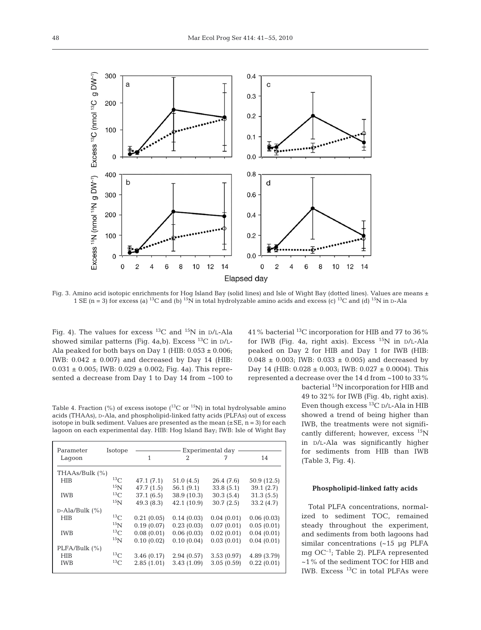

Fig. 3. Amino acid isotopic enrichments for Hog Island Bay (solid lines) and Isle of Wight Bay (dotted lines). Values are means ± 1 SE (n = 3) for excess (a) <sup>13</sup>C and (b) <sup>15</sup>N in total hydrolyzable amino acids and excess (c) <sup>13</sup>C and (d) <sup>15</sup>N in D-Ala

Fig. 4). The values for excess <sup>13</sup>C and <sup>15</sup>N in  $D/L$ -Ala showed similar patterns (Fig. 4a,b). Excess  $^{13}$ C in D/L-Ala peaked for both bays on Day 1 (HIB:  $0.053 \pm 0.006$ ; IWB:  $0.042 \pm 0.007$ ) and decreased by Day 14 (HIB:  $0.031 \pm 0.005$ ; IWB:  $0.029 \pm 0.002$ ; Fig. 4a). This represented a decrease from Day 1 to Day 14 from ~100 to 41% bacterial 13C incorporation for HIB and 77 to 36% for IWB (Fig. 4a, right axis). Excess  $^{15}N$  in D/L-Ala peaked on Day 2 for HIB and Day 1 for IWB (HIB:  $0.048 \pm 0.003$ ; IWB:  $0.033 \pm 0.005$ ) and decreased by Day 14 (HIB:  $0.028 \pm 0.003$ ; IWB:  $0.027 \pm 0.0004$ ). This represented a decrease over the 14 d from ~100 to 33%

Table 4. Fraction (%) of excess isotope ( ${}^{13}$ C or  ${}^{15}$ N) in total hydrolysable amino acids (THAAs), D-Ala, and phospholipid-linked fatty acids (PLFAs) out of excess isotope in bulk sediment. Values are presented as the mean  $(\pm SE, n = 3)$  for each lagoon on each experimental day. HIB: Hog Island Bay; IWB: Isle of Wight Bay

| Parameter            | Isotope         | Experimental day |             |            |             |  |  |  |
|----------------------|-----------------|------------------|-------------|------------|-------------|--|--|--|
| Lagoon               |                 | 1                | 2           | 7          | 14          |  |  |  |
| THAAs/Bulk (%)       |                 |                  |             |            |             |  |  |  |
| <b>HIB</b>           | 13 <sub>C</sub> | 47.1 (7.1)       | 51.0(4.5)   | 26.4 (7.6) | 50.9 (12.5) |  |  |  |
|                      | 15 <sub>N</sub> | 47.7 (1.5)       | 56.1(9.1)   | 33.8(5.1)  | 39.1(2.7)   |  |  |  |
| <b>IWB</b>           | $^{13}$ C       | 37.1(6.5)        | 38.9 (10.3) | 30.3(5.4)  | 31.3(5.5)   |  |  |  |
|                      | 15 <sub>N</sub> | 49.3(8.3)        | 42.1 (10.9) | 30.7(2.5)  | 33.2(4.7)   |  |  |  |
| $D$ -Ala/Bulk $(\%)$ |                 |                  |             |            |             |  |  |  |
| <b>HIB</b>           | 13 <sub>C</sub> | 0.21(0.05)       | 0.14(0.03)  | 0.04(0.01) | 0.06(0.03)  |  |  |  |
|                      | 15 <sub>N</sub> | 0.19(0.07)       | 0.23(0.03)  | 0.07(0.01) | 0.05(0.01)  |  |  |  |
| <b>IWB</b>           | 13 <sub>C</sub> | 0.08(0.01)       | 0.06(0.03)  | 0.02(0.01) | 0.04(0.01)  |  |  |  |
|                      | 15 <sub>N</sub> | 0.10(0.02)       | 0.10(0.04)  | 0.03(0.01) | 0.04(0.01)  |  |  |  |
| PLFA/Bulk (%)        |                 |                  |             |            |             |  |  |  |
| <b>HIB</b>           | 13 <sub>C</sub> | 3.46(0.17)       | 2.94(0.57)  | 3.53(0.97) | 4.89 (3.79) |  |  |  |
| <b>IWB</b>           | 13 <sub>C</sub> | 2.85(1.01)       | 3.43(1.09)  | 3.05(0.59) | 0.22(0.01)  |  |  |  |

Even though excess  $^{13}\mathrm{C}$  p/L-Ala in HIB showed a trend of being higher than IWB, the treatments were not significantly different; however, excess  $^{15}N$ in D/L-Ala was significantly higher for sediments from HIB than IWB (Table 3, Fig. 4).

bacterial 15N incorporation for HIB and 49 to 32% for IWB (Fig. 4b, right axis).

## **Phospholipid-linked fatty acids**

Total PLFA concentrations, normalized to sediment TOC, remained steady throughout the experiment, and sediments from both lagoons had similar concentrations (~15 µg PLFA mg OC–1; Table 2). PLFA represented ~1% of the sediment TOC for HIB and IWB. Excess  $^{13}C$  in total PLFAs were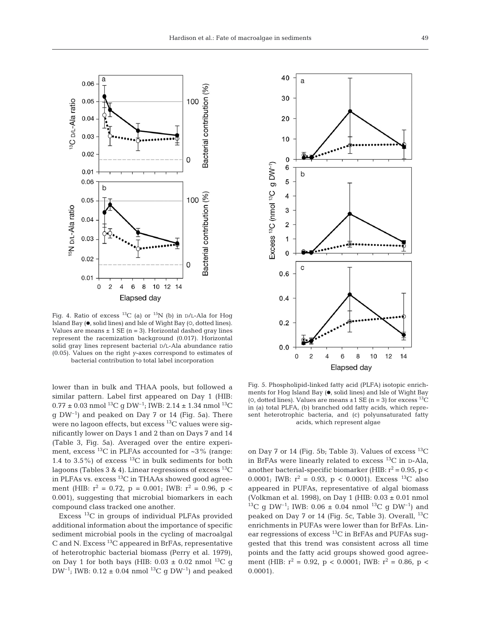

Fig. 4. Ratio of excess <sup>13</sup>C (a) or <sup>15</sup>N (b) in  $D/L$ -Ala for Hog Island Bay  $(•, solid lines)$  and Isle of Wight Bay  $(0, dotted lines)$ . Values are means  $\pm$  1 SE (n = 3). Horizontal dashed gray lines represent the racemization background (0.017). Horizontal solid gray lines represent bacterial D/L-Ala abundance ratio (0.05). Values on the right *y*-axes correspond to estimates of bacterial contribution to total label incorporation

lower than in bulk and THAA pools, but followed a similar pattern. Label first appeared on Day 1 (HIB:  $0.77 \pm 0.03$  nmol  $^{13}C$  g DW<sup>-1</sup>; IWB: 2.14  $\pm$  1.34 nmol  $^{13}C$  $q$  DW<sup>-1</sup>) and peaked on Day 7 or 14 (Fig. 5a). There were no lagoon effects, but excess  $^{13}$ C values were significantly lower on Days 1 and 2 than on Days 7 and 14 (Table 3, Fig. 5a). Averaged over the entire experiment, excess  $^{13}$ C in PLFAs accounted for  $\sim$ 3% (range: 1.4 to  $3.5\%$ ) of excess <sup>13</sup>C in bulk sediments for both lagoons (Tables 3 & 4). Linear regressions of excess  $^{13}C$ in PLFAs vs. excess  ${}^{13}C$  in THAAs showed good agreement (HIB:  $r^2 = 0.72$ ,  $p = 0.001$ ; IWB:  $r^2 = 0.96$ ,  $p <$ 0.001), suggesting that microbial biomarkers in each compound class tracked one another.

Excess 13C in groups of individual PLFAs provided additional information about the importance of specific sediment microbial pools in the cycling of macroalgal C and N. Excess  ${}^{13}$ C appeared in BrFAs, representative of heterotrophic bacterial biomass (Perry et al. 1979), on Day 1 for both bays (HIB:  $0.03 \pm 0.02$  nmol <sup>13</sup>C g DW<sup>-1</sup>; IWB: 0.12  $\pm$  0.04 nmol<sup>13</sup>C g DW<sup>-1</sup>) and peaked



Fig. 5. Phospholipid-linked fatty acid (PLFA) isotopic enrichments for Hog Island Bay (., solid lines) and Isle of Wight Bay (o, dotted lines). Values are means  $\pm 1$  SE (n = 3) for excess <sup>13</sup>C in (a) total PLFA, (b) branched odd fatty acids, which represent heterotrophic bacteria, and (c) polyunsaturated fatty acids, which represent algae

on Day 7 or 14 (Fig. 5b; Table 3). Values of excess  $^{13}C$ in BrFAs were linearly related to excess  $^{13}$ C in D-Ala, another bacterial-specific biomarker (HIB:  $r^2$  = 0.95, p < 0.0001; IWB:  $r^2 = 0.93$ ,  $p < 0.0001$ ). Excess <sup>13</sup>C also appeared in PUFAs, representative of algal biomass (Volkman et al. 1998), on Day 1 (HIB: 0.03 ± 0.01 nmol <sup>13</sup>C g DW<sup>-1</sup>; IWB: 0.06  $\pm$  0.04 nmol <sup>13</sup>C g DW<sup>-1</sup>) and peaked on Day 7 or 14 (Fig. 5c, Table 3). Overall,  $^{13}C$ enrichments in PUFAs were lower than for BrFAs. Linear regressions of excess 13C in BrFAs and PUFAs suggested that this trend was consistent across all time points and the fatty acid groups showed good agreement (HIB:  $r^2 = 0.92$ ,  $p < 0.0001$ ; IWB:  $r^2 = 0.86$ ,  $p <$ 0.0001).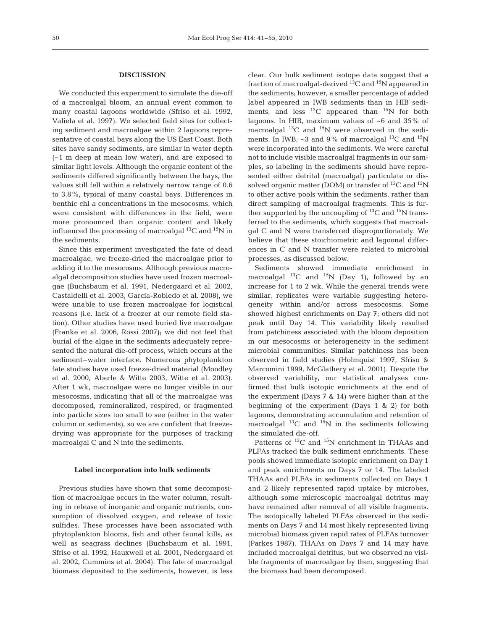## **DISCUSSION**

We conducted this experiment to simulate the die-off of a macroalgal bloom, an annual event common to many coastal lagoons worldwide (Sfriso et al. 1992, Valiela et al. 1997). We selected field sites for collecting sediment and macroalgae within 2 lagoons representative of coastal bays along the US East Coast. Both sites have sandy sediments, are similar in water depth (~1 m deep at mean low water), and are exposed to similar light levels. Although the organic content of the sediments differed significantly between the bays, the values still fell within a relatively narrow range of 0.6 to 3.8%, typical of many coastal bays. Differences in benthic chl *a* concentrations in the mesocosms, which were consistent with differences in the field, were more pronounced than organic content and likely influenced the processing of macroalgal  ${}^{13}C$  and  ${}^{15}N$  in the sediments.

Since this experiment investigated the fate of dead macroalgae, we freeze-dried the macroalgae prior to adding it to the mesocosms. Although previous macroalgal decomposition studies have used frozen macroalgae (Buchsbaum et al. 1991, Nedergaard et al. 2002, Castaldelli et al. 2003, García-Robledo et al. 2008), we were unable to use frozen macroalgae for logistical reasons (i.e. lack of a freezer at our remote field station). Other studies have used buried live macroalgae (Franke et al. 2006, Rossi 2007); we did not feel that burial of the algae in the sediments adequately represented the natural die-off process, which occurs at the sediment–water interface. Numerous phytoplankton fate studies have used freeze-dried material (Moodley et al. 2000, Aberle & Witte 2003, Witte et al. 2003). After 1 wk, macroalgae were no longer visible in our mesocosms, indicating that all of the macroalgae was decomposed, remineralized, respired, or fragmented into particle sizes too small to see (either in the water column or sediments), so we are confident that freezedrying was appropriate for the purposes of tracking macroalgal C and N into the sediments.

## **Label incorporation into bulk sediments**

Previous studies have shown that some decomposition of macroalgae occurs in the water column, resulting in release of inorganic and organic nutrients, consumption of dissolved oxygen, and release of toxic sulfides. These processes have been associated with phytoplankton blooms, fish and other faunal kills, as well as seagrass declines (Buchsbaum et al. 1991, Sfriso et al. 1992, Hauxwell et al. 2001, Nedergaard et al. 2002, Cummins et al. 2004). The fate of macroalgal biomass deposited to the sediments, however, is less clear. Our bulk sediment isotope data suggest that a fraction of macroalgal-derived  $^{13}$ C and  $^{15}$ N appeared in the sediments; however, a smaller percentage of added label appeared in IWB sediments than in HIB sediments, and less  $^{13}$ C appeared than  $^{15}$ N for both lagoons. In HIB, maximum values of ~6 and 35% of macroalgal  $^{13}$ C and  $^{15}$ N were observed in the sediments. In IWB,  $\sim$ 3 and 9% of macroalgal <sup>13</sup>C and <sup>15</sup>N were incorporated into the sediments. We were careful not to include visible macroalgal fragments in our samples, so labeling in the sediments should have represented either detrital (macroalgal) particulate or dissolved organic matter (DOM) or transfer of  $^{13}C$  and  $^{15}N$ to other active pools within the sediments, rather than direct sampling of macroalgal fragments. This is further supported by the uncoupling of  ${}^{13}C$  and  ${}^{15}N$  transferred to the sediments, which suggests that macroalgal C and N were transferred disproportionately. We believe that these stoichiometric and lagoonal differences in C and N transfer were related to microbial processes, as discussed below.

Sediments showed immediate enrichment in macroalgal  $^{13}C$  and  $^{15}N$  (Day 1), followed by an increase for 1 to 2 wk. While the general trends were similar, replicates were variable suggesting heterogeneity within and/or across mesocosms. Some showed highest enrichments on Day 7; others did not peak until Day 14. This variability likely resulted from patchiness associated with the bloom deposition in our mesocosms or heterogeneity in the sediment microbial communities. Similar patchiness has been observed in field studies (Holmquist 1997, Sfriso & Marcomini 1999, McGlathery et al. 2001). Despite the observed variability, our statistical analyses confirmed that bulk isotopic enrichments at the end of the experiment (Days 7 & 14) were higher than at the beginning of the experiment (Days 1 & 2) for both lagoons, demonstrating accumulation and retention of macroalgal  $^{13}$ C and  $^{15}$ N in the sediments following the simulated die-off.

Patterns of <sup>13</sup>C and <sup>15</sup>N enrichment in THAAs and PLFAs tracked the bulk sediment enrichments. These pools showed immediate isotopic enrichment on Day 1 and peak enrichments on Days 7 or 14. The labeled THAAs and PLFAs in sediments collected on Days 1 and 2 likely represented rapid uptake by microbes, although some microscopic macroalgal detritus may have remained after removal of all visible fragments. The isotopically labeled PLFAs observed in the sediments on Days 7 and 14 most likely represented living microbial biomass given rapid rates of PLFAs turnover (Parkes 1987). THAAs on Days 7 and 14 may have included macroalgal detritus, but we observed no visible fragments of macroalgae by then, suggesting that the biomass had been decomposed.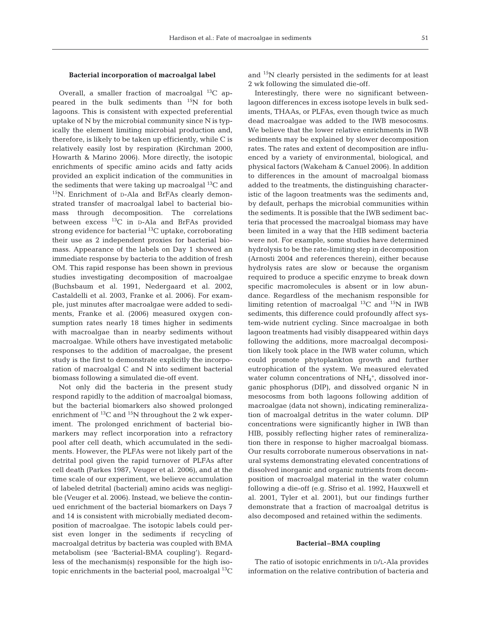## **Bacterial incorporation of macroalgal label**

Overall, a smaller fraction of macroalgal  $^{13}C$  appeared in the bulk sediments than <sup>15</sup>N for both lagoons. This is consistent with expected preferential uptake of N by the microbial community since N is typically the element limiting microbial production and, therefore, is likely to be taken up efficiently, while C is relatively easily lost by respiration (Kirchman 2000, Howarth & Marino 2006). More directly, the isotopic enrichments of specific amino acids and fatty acids provided an explicit indication of the communities in the sediments that were taking up macroalgal  ${}^{13}C$  and 15N. Enrichment of D-Ala and BrFAs clearly demonstrated transfer of macroalgal label to bacterial biomass through decomposition. The correlations between excess 13C in D-Ala and BrFAs provided strong evidence for bacterial <sup>13</sup>C uptake, corroborating their use as 2 independent proxies for bacterial biomass. Appearance of the labels on Day 1 showed an immediate response by bacteria to the addition of fresh OM. This rapid response has been shown in previous studies investigating decomposition of macroalgae (Buchsbaum et al. 1991, Nedergaard et al. 2002, Castaldelli et al. 2003, Franke et al. 2006). For example, just minutes after macroalgae were added to sediments, Franke et al. (2006) measured oxygen consumption rates nearly 18 times higher in sediments with macroalgae than in nearby sediments without macroalgae. While others have investigated metabolic responses to the addition of macroalgae, the present study is the first to demonstrate explicitly the incorporation of macroalgal C and N into sediment bacterial biomass following a simulated die-off event.

Not only did the bacteria in the present study respond rapidly to the addition of macroalgal biomass, but the bacterial biomarkers also showed prolonged enrichment of  $^{13}C$  and  $^{15}N$  throughout the 2 wk experiment. The prolonged enrichment of bacterial biomarkers may reflect incorporation into a refractory pool after cell death, which accumulated in the sediments. However, the PLFAs were not likely part of the detrital pool given the rapid turnover of PLFAs after cell death (Parkes 1987, Veuger et al. 2006), and at the time scale of our experiment, we believe accumulation of labeled detrital (bacterial) amino acids was negligible (Veuger et al. 2006). Instead, we believe the continued enrichment of the bacterial biomarkers on Days 7 and 14 is consistent with microbially mediated decomposition of macroalgae. The isotopic labels could persist even longer in the sediments if recycling of macroalgal detritus by bacteria was coupled with BMA metabolism (see 'Bacterial-BMA coupling'). Regardless of the mechanism(s) responsible for the high isotopic enrichments in the bacterial pool, macroalgal  ${}^{13}C$  and 15N clearly persisted in the sediments for at least 2 wk following the simulated die-off.

Interestingly, there were no significant betweenlagoon differences in excess isotope levels in bulk sediments, THAAs, or PLFAs, even though twice as much dead macroalgae was added to the IWB mesocosms. We believe that the lower relative enrichments in IWB sediments may be explained by slower decomposition rates. The rates and extent of decomposition are influenced by a variety of environmental, biological, and physical factors (Wakeham & Canuel 2006). In addition to differences in the amount of macroalgal biomass added to the treatments, the distinguishing characteristic of the lagoon treatments was the sediments and, by default, perhaps the microbial communities within the sediments. It is possible that the IWB sediment bacteria that processed the macroalgal biomass may have been limited in a way that the HIB sediment bacteria were not. For example, some studies have determined hydrolysis to be the rate-limiting step in decomposition (Arnosti 2004 and references therein), either because hydrolysis rates are slow or because the organism required to produce a specific enzyme to break down specific macromolecules is absent or in low abundance. Regardless of the mechanism responsible for limiting retention of macroalgal  $^{13}C$  and  $^{15}N$  in IWB sediments, this difference could profoundly affect system-wide nutrient cycling. Since macroalgae in both lagoon treatments had visibly disappeared within days following the additions, more macroalgal decomposition likely took place in the IWB water column, which could promote phytoplankton growth and further eutrophication of the system. We measured elevated water column concentrations of  $NH<sub>4</sub><sup>+</sup>,$  dissolved inorganic phosphorus (DIP), and dissolved organic N in mesocosms from both lagoons following addition of macroalgae (data not shown), indicating remineralization of macroalgal detritus in the water column. DIP concentrations were significantly higher in IWB than HIB, possibly reflecting higher rates of remineralization there in response to higher macroalgal biomass. Our results corroborate numerous observations in natural systems demonstrating elevated concentrations of dissolved inorganic and organic nutrients from decomposition of macroalgal material in the water column following a die-off (e.g. Sfriso et al. 1992, Hauxwell et al. 2001, Tyler et al. 2001), but our findings further demonstrate that a fraction of macroalgal detritus is also decomposed and retained within the sediments.

#### **Bacterial–BMA coupling**

The ratio of isotopic enrichments in D/L-Ala provides information on the relative contribution of bacteria and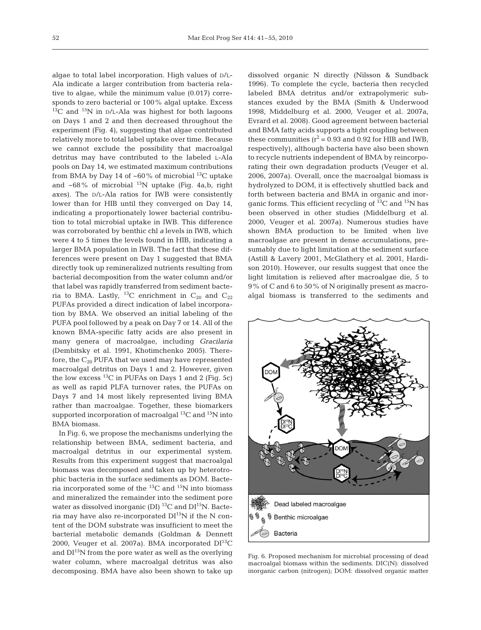algae to total label incorporation. High values of D/L-Ala indicate a larger contribution from bacteria relative to algae, while the minimum value (0.017) corresponds to zero bacterial or 100% algal uptake. Excess  $13^{\circ}$ C and  $15^{\circ}$ N in D/L-Ala was highest for both lagoons on Days 1 and 2 and then decreased throughout the experiment (Fig. 4), suggesting that algae contributed relatively more to total label uptake over time. Because we cannot exclude the possibility that macroalgal detritus may have contributed to the labeled L-Ala pools on Day 14, we estimated maximum contributions from BMA by Day 14 of  $~60\%$  of microbial <sup>13</sup>C uptake and  $~68\%$  of microbial <sup>15</sup>N uptake (Fig. 4a,b, right axes). The D/L-Ala ratios for IWB were consistently lower than for HIB until they converged on Day 14, indicating a proportionately lower bacterial contribution to total microbial uptake in IWB. This difference was corroborated by benthic chl *a* levels in IWB, which were 4 to 5 times the levels found in HIB, indicating a larger BMA population in IWB. The fact that these differences were present on Day 1 suggested that BMA directly took up remineralized nutrients resulting from bacterial decomposition from the water column and/or that label was rapidly transferred from sediment bacteria to BMA. Lastly, <sup>13</sup>C enrichment in  $C_{20}$  and  $C_{22}$ PUFAs provided a direct indication of label incorporation by BMA. We observed an initial labeling of the PUFA pool followed by a peak on Day 7 or 14. All of the known BMA-specific fatty acids are also present in many genera of macroalgae, including *Gracilaria* (Dembitsky et al. 1991, Khotimchenko 2005). Therefore, the  $C_{20}$  PUFA that we used may have represented macroalgal detritus on Days 1 and 2. However, given the low excess  $^{13}$ C in PUFAs on Days 1 and 2 (Fig. 5c) as well as rapid PLFA turnover rates, the PUFAs on Days 7 and 14 most likely represented living BMA rather than macroalgae. Together, these biomarkers supported incorporation of macroalgal  ${}^{13}C$  and  ${}^{15}N$  into BMA biomass.

In Fig. 6, we propose the mechanisms underlying the relationship between BMA, sediment bacteria, and macroalgal detritus in our experimental system. Results from this experiment suggest that macroalgal biomass was decomposed and taken up by heterotrophic bacteria in the surface sediments as DOM. Bacteria incorporated some of the  ${}^{13}C$  and  ${}^{15}N$  into biomass and mineralized the remainder into the sediment pore water as dissolved inorganic (DI)  $^{13}$ C and DI<sup>15</sup>N. Bacteria may have also re-incorporated  $DI^{15}N$  if the N content of the DOM substrate was insufficient to meet the bacterial metabolic demands (Goldman & Dennett 2000, Veuger et al. 2007a). BMA incorporated  $DI^{13}C$ and  $DI^{15}N$  from the pore water as well as the overlying water column, where macroalgal detritus was also decomposing. BMA have also been shown to take up

dissolved organic N directly (Nilsson & Sundback 1996). To complete the cycle, bacteria then recycled labeled BMA detritus and/or extrapolymeric substances exuded by the BMA (Smith & Underwood 1998, Middelburg et al. 2000, Veuger et al. 2007a, Evrard et al. 2008). Good agreement between bacterial and BMA fatty acids supports a tight coupling between these communities ( $r^2$  = 0.93 and 0.92 for HIB and IWB, respectively), although bacteria have also been shown to recycle nutrients independent of BMA by reincorporating their own degradation products (Veuger et al. 2006, 2007a). Overall, once the macroalgal biomass is hydrolyzed to DOM, it is effectively shuttled back and forth between bacteria and BMA in organic and inorganic forms. This efficient recycling of  $^{13}$ C and  $^{15}$ N has been observed in other studies (Middelburg et al. 2000, Veuger et al. 2007a). Numerous studies have shown BMA production to be limited when live macroalgae are present in dense accumulations, presumably due to light limitation at the sediment surface (Astill & Lavery 2001, McGlathery et al. 2001, Hardison 2010). However, our results suggest that once the light limitation is relieved after macroalgae die, 5 to 9% of C and 6 to 50% of N originally present as macroalgal biomass is transferred to the sediments and



Fig. 6. Proposed mechanism for microbial processing of dead macroalgal biomass within the sediments. DIC(N): dissolved inorganic carbon (nitrogen); DOM: dissolved organic matter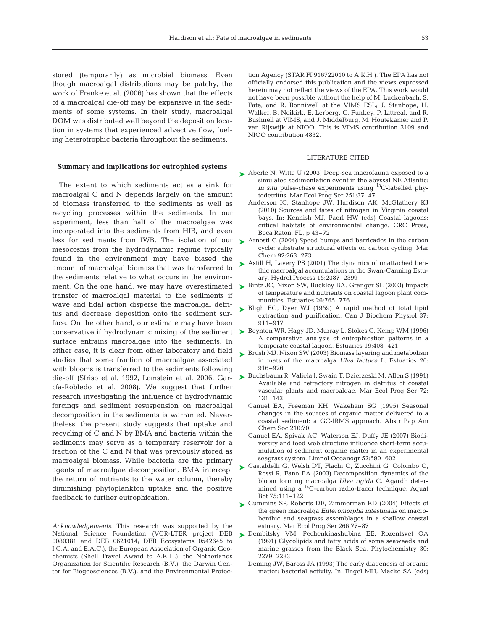stored (temporarily) as microbial biomass. Even though macroalgal distributions may be patchy, the work of Franke et al. (2006) has shown that the effects of a macroalgal die-off may be expansive in the sediments of some systems. In their study, macroalgal DOM was distributed well beyond the deposition location in systems that experienced advective flow, fueling heterotrophic bacteria throughout the sediments.

## **Summary and implications for eutrophied systems**

The extent to which sediments act as a sink for macroalgal C and N depends largely on the amount of biomass transferred to the sediments as well as recycling processes within the sediments. In our experiment, less than half of the macroalgae was incorporated into the sediments from HIB, and even less for sediments from IWB. The isolation of our mesocosms from the hydrodynamic regime typically found in the environment may have biased the amount of macroalgal biomass that was transferred to the sediments relative to what occurs in the environment. On the one hand, we may have overestimated transfer of macroalgal material to the sediments if wave and tidal action disperse the macroalgal detritus and decrease deposition onto the sediment surface. On the other hand, our estimate may have been surface entrains macroalgae into the sediments. In either case, it is clear from other laboratory and field studies that some fraction of macroalgae associated with blooms is transferred to the sediments following die-off (Sfriso et al. 1992, Lomstein et al. 2006, García-Robledo et al. 2008). We suggest that further research investigating the influence of hydrodynamic forcings and sediment resuspension on macroalgal decomposition in the sediments is warranted. Nevertheless, the present study suggests that uptake and recycling of C and N by BMA and bacteria within the sediments may serve as a temporary reservoir for a fraction of the C and N that was previously stored as macroalgal biomass. While bacteria are the primary agents of macroalgae decomposition, BMA intercept the return of nutrients to the water column, thereby diminishing phytoplankton uptake and the positive feedback to further eutrophication.

*Acknowledgements.* This research was supported by the National Science Foundation (VCR-LTER project DEB 0080381 and DEB 0621014; DEB Ecosystems 0542645 to I.C.A. and E.A.C.), the European Association of Organic Geochemists (Shell Travel Award to A.K.H.), the Netherlands Organization for Scientific Research (B.V.), the Darwin Center for Biogeosciences (B.V.), and the Environmental Protection Agency (STAR FP916722010 to A.K.H.). The EPA has not officially endorsed this publication and the views expressed herein may not reflect the views of the EPA. This work would not have been possible without the help of M. Luckenbach, S. Fate, and R. Bonniwell at the VIMS ESL; J. Stanhope, H. Walker, B. Neikirk, E. Lerberg, C. Funkey, P. Littreal, and R. Bushnell at VIMS; and J. Middelburg, M. Houtekamer and P. van Rijswijk at NIOO. This is VIMS contribution 3109 and NIOO contribution 4832.

## LITERATURE CITED

- ▶ Aberle N, Witte U (2003) Deep-sea macrofauna exposed to a simulated sedimentation event in the abyssal NE Atlantic: *in situ* pulse-chase experiments using <sup>13</sup>C-labelled phytodetritus. Mar Ecol Prog Ser 251:37–47
	- Anderson IC, Stanhope JW, Hardison AK, McGlathery KJ (2010) Sources and fates of nitrogen in Virginia coastal bays. In: Kennish MJ, Paerl HW (eds) Coastal lagoons: critical habitats of environmental change. CRC Press, Boca Raton, FL, p 43–72
- ► Arnosti C (2004) Speed bumps and barricades in the carbon cycle: substrate structural effects on carbon cycling. Mar Chem 92:263–273
- ► Astill H, Lavery PS (2001) The dynamics of unattached benthic macroalgal accumulations in the Swan-Canning Estuary. Hydrol Process 15:2387–2399
- ► Bintz JC, Nixon SW, Buckley BA, Granger SL (2003) Impacts of temperature and nutrients on coastal lagoon plant communities. Estuaries 26:765–776
- ► Bligh EG, Dyer WJ (1959) A rapid method of total lipid extraction and purification. Can J Biochem Physiol 37: 911–917
- conservative if hydrodynamic mixing of the sediment  $\triangleright$  Boynton WR, Hagy JD, Murray L, Stokes C, Kemp WM (1996) A comparative analysis of eutrophication patterns in a temperate coastal lagoon. Estuaries 19:408–421
	- ► Brush MJ, Nixon SW (2003) Biomass layering and metabolism in mats of the macroalga *Ulva lactuca* L. Estuaries 26: 916–926
	- Buchsbaum R, Valiela I, Swain T, Dzierzeski M, Allen S (1991) ➤ Available and refractory nitrogen in detritus of coastal vascular plants and macroalgae. Mar Ecol Prog Ser 72: 131–143
		- Canuel EA, Freeman KH, Wakeham SG (1995) Seasonal changes in the sources of organic matter delivered to a coastal sediment: a GC-IRMS approach. Abstr Pap Am Chem Soc 210:70
		- Canuel EA, Spivak AC, Waterson EJ, Duffy JE (2007) Biodiversity and food web structure influence short-term accumulation of sediment organic matter in an experimental seagrass system. Limnol Oceanogr 52:590–602
	- ► Castaldelli G, Welsh DT, Flachi G, Zucchini G, Colombo G, Rossi R, Fano EA (2003) Decomposition dynamics of the bloom forming macroalga *Ulva rigida* C. Agardh determined using a 14C-carbon radio-tracer technique. Aquat Bot 75:111–122
	- ► Cummins SP, Roberts DE, Zimmerman KD (2004) Effects of the green macroalga *Enteromorpha intestinalis* on macrobenthic and seagrass assemblages in a shallow coastal estuary. Mar Ecol Prog Ser 266:77–87
	- Dembitsky VM, Pechenkinashubina EE, Rozentsvet OA ➤(1991) Glycolipids and fatty acids of some seaweeds and marine grasses from the Black Sea. Phytochemistry 30: 2279–2283
		- Deming JW, Baross JA (1993) The early diagenesis of organic matter: bacterial activity. In: Engel MH, Macko SA (eds)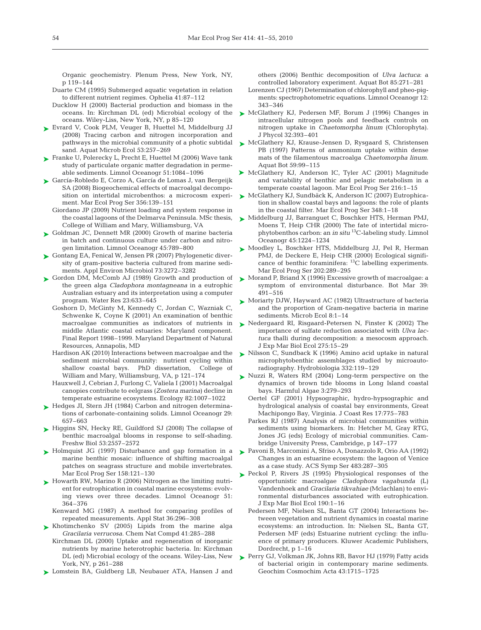Organic geochemistry. Plenum Press, New York, NY, p 119–144

- Duarte CM (1995) Submerged aquatic vegetation in relation to different nutrient regimes. Ophelia 41:87–112
- Ducklow H (2000) Bacterial production and biomass in the oceans. In: Kirchman DL (ed) Microbial ecology of the oceans. Wiley-Liss, New York, NY, p 85–120
- ► Evrard V, Cook PLM, Veuger B, Huettel M, Middelburg JJ (2008) Tracing carbon and nitrogen incorporation and pathways in the microbial community of a photic subtidal sand. Aquat Microb Ecol 53:257–269
- Franke U, Polerecky L, Precht E, Huettel M (2006) Wave tank ➤ study of particulate organic matter degradation in permeable sediments. Limnol Oceanogr 51:1084–1096
- García-Robledo E, Corzo A, García de Lomas J, van Bergeijk ➤ SA (2008) Biogeochemical effects of macroalgal decomposition on intertidal microbenthos: a microcosm experiment. Mar Ecol Prog Ser 356:139–151
	- Giordano JP (2009) Nutrient loading and system response in the coastal lagoons of the Delmarva Peninsula. MSc thesis, College of William and Mary, Williamsburg, VA
- ► Goldman JC, Dennett MR (2000) Growth of marine bacteria in batch and continuous culture under carbon and nitrogen limitation. Limnol Oceanogr 45:789–800
- ► Gontang EA, Fenical W, Jensen PR (2007) Phylogenetic diversity of gram-positive bacteria cultured from marine sediments. Appl Environ Microbiol 73:3272–3282
- ► Gordon DM, McComb AJ (1989) Growth and production of the green alga *Cladophora montagneana* in a eutrophic Australian estuary and its interpretation using a computer program. Water Res 23:633–645
	- Goshorn D, McGinty M, Kennedy C, Jordan C, Wazniak C, Schwenke K, Coyne K (2001) An examination of benthic macroalgae communities as indicators of nutrients in middle Atlantic coastal estuaries: Maryland component. Final Report 1998–1999. Maryland Department of Natural Resources, Annapolis, MD
	- Hardison AK (2010) Interactions between macroalgae and the sediment microbial community: nutrient cycling within shallow coastal bays. PhD dissertation, College of William and Mary, Williamsburg, VA, p 121–174
	- Hauxwell J, Cebrian J, Furlong C, Valiela I (2001) Macroalgal canopies contribute to eelgrass (*Zostera marina*) decline in temperate estuarine ecosystems. Ecology 82:1007–1022
- ► Hedges JI, Stern JH (1984) Carbon and nitrogen determinations of carbonate-containing solids. Limnol Oceanogr 29: 657–663
- ▶ Higgins SN, Hecky RE, Guildford SJ (2008) The collapse of benthic macroalgal blooms in response to self-shading. Freshw Biol 53:2557–2572
- ▶ Holmquist JG (1997) Disturbance and gap formation in a marine benthic mosaic: influence of shifting macroalgal patches on seagrass structure and mobile invertebrates. Mar Ecol Prog Ser 158:121–130
- ► Howarth RW, Marino R (2006) Nitrogen as the limiting nutrient for eutrophication in coastal marine ecosystems: evolving views over three decades. Limnol Oceanogr 51: 364–376

Kenward MG (1987) A method for comparing profiles of repeated measurements. Appl Stat 36:296–308

- ▶ Khotimchenko SV (2005) Lipids from the marine alga *Gracilaria verrucosa*. Chem Nat Compd 41:285–288
	- Kirchman DL (2000) Uptake and regeneration of inorganic nutrients by marine heterotrophic bacteria. In: Kirchman DL (ed) Microbial ecology of the oceans. Wiley-Liss, New York, NY, p 261–288
- ▶ Lomstein BA, Guldberg LB, Neubauer ATA, Hansen J and

others (2006) Benthic decomposition of *Ulva lactuca*: a controlled laboratory experiment. Aquat Bot 85:271–281

- Lorenzen CJ (1967) Determination of chlorophyll and pheo-pigments: spectrophotometric equations. Limnol Oceanogr 12: 343–346
- ► McGlathery KJ, Pedersen MF, Borum J (1996) Changes in intracellular nitrogen pools and feedback controls on nitrogen uptake in *Chaetomorpha linum* (Chlorophyta). J Phycol 32:393–401
- ► McGlathery KJ, Krause-Jensen D, Rysgaard S, Christensen PB (1997) Patterns of ammonium uptake within dense mats of the filamentous macroalga *Chaetomorpha linum*. Aquat Bot 59:99–115
- ▶ McGlathery KJ, Anderson IC, Tyler AC (2001) Magnitude and variability of benthic and pelagic metabolism in a temperate coastal lagoon. Mar Ecol Prog Ser 216:1–15
- ► McGlathery KJ, Sundbäck K, Anderson IC (2007) Eutrophication in shallow coastal bays and lagoons: the role of plants in the coastal filter. Mar Ecol Prog Ser 348:1–18
- ► Middelburg JJ, Barranguet C, Boschker HTS, Herman PMJ, Moens T, Heip CHR (2000) The fate of intertidal microphytobenthos carbon: an *in situ* 13C-labeling study. Limnol Oceanogr 45:1224–1234
- ► Moodley L, Boschker HTS, Middelburg JJ, Pel R, Herman PMJ, de Deckere E, Heip CHR (2000) Ecological significance of benthic foraminifera:  ${}^{13}$ C labelling experiments. Mar Ecol Prog Ser 202:289–295
- ► Morand P, Briand X (1996) Excessive growth of macroalgae: a symptom of environmental disturbance. Bot Mar 39: 491–516
- ► Moriarty DJW, Hayward AC (1982) Ultrastructure of bacteria and the proportion of Gram-negative bacteria in marine sediments. Microb Ecol 8:1–14
- ▶ Nedergaard RI, Risgaard-Petersen N, Finster K (2002) The importance of sulfate reduction associated with *Ulva lactuca* thalli during decomposition: a mesocosm approach. J Exp Mar Biol Ecol 275:15–29
- ► Nilsson C, Sundback K (1996) Amino acid uptake in natural microphytobenthic assemblages studied by microautoradiography. Hydrobiologia 332:119–129
- ► Nuzzi R, Waters RM (2004) Long-term perspective on the dynamics of brown tide blooms in Long Island coastal bays. Harmful Algae 3:279–293
	- Oertel GF (2001) Hypsographic, hydro-hypsographic and hydrological analysis of coastal bay environments, Great Machipongo Bay, Virginia. J Coast Res 17:775–783
	- Parkes RJ (1987) Analysis of microbial communities within sediments using biomarkers. In: Hetcher M, Gray RTG, Jones JG (eds) Ecology of microbial communities. Cambridge University Press, Cambridge, p 147–177
- Pavoni B, Marcomini A, Sfriso A, Donazzolo R, Orio AA (1992) ➤ Changes in an estuarine ecosystem: the lagoon of Venice as a case study. ACS Symp Ser 483:287–305
- ▶ Peckol P, Rivers JS (1995) Physiological responses of the opportunistic macroalgae *Cladophora vagabunda* (L) Vandenhoek and *Gracilaria tikvahiae* (Mclachlan) to environmental disturbances associated with eutrophication. J Exp Mar Biol Ecol 190:1–16
	- Pedersen MF, Nielsen SL, Banta GT (2004) Interactions between vegetation and nutrient dynamics in coastal marine ecosystems: an introduction. In: Nielsen SL, Banta GT, Pedersen MF (eds) Estuarine nutrient cycling: the influence of primary producers. Kluwer Academic Publishers, Dordrecht, p 1–16
- Perry GJ, Volkman JK, Johns RB, Bavor HJ (1979) Fatty acids ➤ of bacterial origin in contemporary marine sediments. Geochim Cosmochim Acta 43:1715–1725